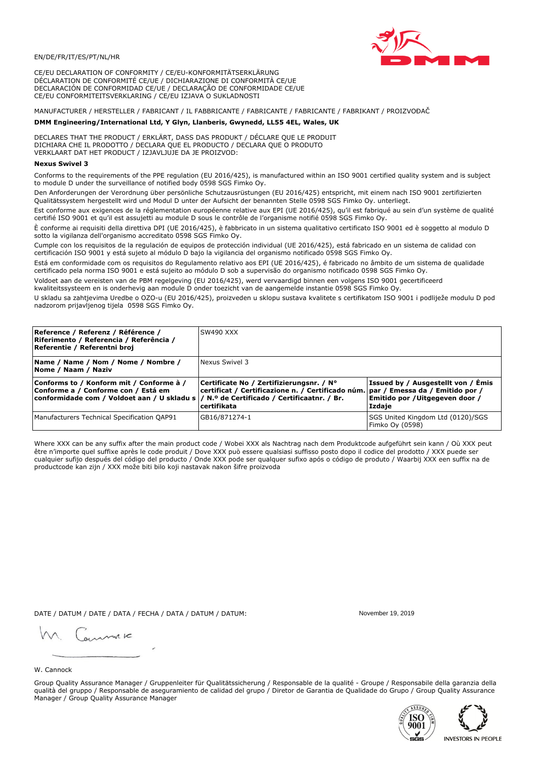

CE/EU DECLARATION OF CONFORMITY / CE/EU-KONFORMITÄTSERKLÄRUNG DÉCLARATION DE CONFORMITÉ CE/UE / DICHIARAZIONE DI CONFORMITÀ CE/UE DECLARACIÓN DE CONFORMIDAD CE/UE / DECLARAÇÃO DE CONFORMIDADE CE/UE CE/EU CONFORMITEITSVERKLARING / CE/EU IZJAVA O SUKLADNOSTI

# MANUFACTURER / HERSTELLER / FABRICANT / IL FABBRICANTE / FABRICANTE / FABRICANTE / FABRIKANT / PROIZVOĐAČ

## DMM Engineering/International Ltd, Y Glyn, Llanberis, Gwynedd, LL55 4EL, Wales, UK

DECLARES THAT THE PRODUCT / ERKLÄRT, DASS DAS PRODUKT / DÉCLARE QUE LE PRODUIT<br>DICHIARA CHE IL PRODOTTO / DECLARA QUE EL PRODUCTO / DECLARA QUE O PRODUTO VERKLAART DAT HET PRODUCT / IZJAVLJUJE DA JE PROIZVOD:

### **Nexus Swivel 3**

Conforms to the requirements of the PPE regulation (EU 2016/425), is manufactured within an ISO 9001 certified quality system and is subject to module D under the surveillance of notified body 0598 SGS Fimko Oy.

Den Anforderungen der Verordnung über persönliche Schutzausrüstungen (EU 2016/425) entspricht, mit einem nach ISO 9001 zertifizierten Qualitätssystem hergestellt wird und Modul D unter der Aufsicht der benannten Stelle 0598 SGS Fimko Oy. unterliegt.

Est conforme aux exigences de la réglementation européenne relative aux EPI (UE 2016/425), qu'il est fabriqué au sein d'un système de qualité certifié ISO 9001 et qu'il est assujetti au module D sous le contrôle de l'organisme notifié 0598 SGS Fimko Oy.

È conforme ai requisiti della direttiva DPI (UE 2016/425), è fabbricato in un sistema qualitativo certificato ISO 9001 ed è soggetto al modulo D sotto la vigilanza dell'organismo accreditato 0598 SGS Fimko Oy.

Cumple con los requisitos de la regulación de equipos de protección individual (UE 2016/425), está fabricado en un sistema de calidad con certificación ISO 9001 y está sujeto al módulo D bajo la vigilancia del organismo notificado 0598 SGS Fimko Oy.

Está em conformidade com os requisitos do Regulamento relativo aos EPI (UE 2016/425), é fabricado no âmbito de um sistema de qualidade certificado pela norma ISO 9001 e está sujeito ao módulo D sob a supervisão do organismo notificado 0598 SGS Fimko Oy.

Voldoet aan de vereisten van de PBM regelgeving (EU 2016/425), werd vervaardigd binnen een volgens ISO 9001 gecertificeerd kwaliteitssysteem en is onderhevig aan module D onder toezicht van de aangemelde instantie 0598 SGS Fimko Oy.

U skladu sa zahtjevima Uredbe o OZO-u (EU 2016/425), proizveden u sklopu sustava kvalitete s certifikatom ISO 9001 i podliježe modulu D pod nadzorom prijavljenog tijela 0598 SGS Fimko Oy.

| Reference / Referenz / Référence /<br> Riferimento / Referencia / Referência /<br>Referentie / Referentni broj                                                             | SW490 XXX                                                                                                                                          |                                                                                 |
|----------------------------------------------------------------------------------------------------------------------------------------------------------------------------|----------------------------------------------------------------------------------------------------------------------------------------------------|---------------------------------------------------------------------------------|
| Name / Name / Nom / Nome / Nombre /<br>Nome / Naam / Naziv                                                                                                                 | Nexus Swivel 3                                                                                                                                     |                                                                                 |
| Conforms to / Konform mit / Conforme à /<br>Conforme a / Conforme con / Está em<br>conformidade com / Voldoet aan / U skladu s / N.º de Certificado / Certificaatnr. / Br. | Certificate No / Zertifizierungsnr. / N°<br>  certificat / Certificazione n. / Certificado núm.   par / Emessa da / Emitido por /<br>l certifikata | Issued by / Ausgestellt von / Emis<br>Emitido por / Uitgegeven door /<br>Izdaje |
| Manufacturers Technical Specification QAP91                                                                                                                                | GB16/871274-1                                                                                                                                      | SGS United Kingdom Ltd (0120)/SGS<br>Fimko Oy (0598)                            |

Where XXX can be any suffix after the main product code / Wobei XXX als Nachtrag nach dem Produktcode aufgeführt sein kann / Où XXX peut être n'importe quel suffixe après le code produit / Dove XXX può essere qualsiasi suffisso posto dopo il codice del prodotto / XXX puede ser cualquier sufijo después del código del producto / Onde XXX pode ser qualquer sufixo após o código de produto / Waarbij XXX een suffix na de productcode kan zijn / XXX može biti bilo koji nastavak nakon šifre proizvoda

DATE / DATUM / DATE / DATA / FECHA / DATA / DATUM / DATUM:

gimmic

November 19 2019



Group Quality Assurance Manager / Gruppenleiter für Qualitätssicherung / Responsable de la qualité - Groupe / Responsabile della garanzia della qualità del gruppo / Responsable de aseguramiento de calidad del grupo / Diretor de Garantia de Qualidade do Grupo / Group Quality Assurance Manager / Group Quality Assurance Manager



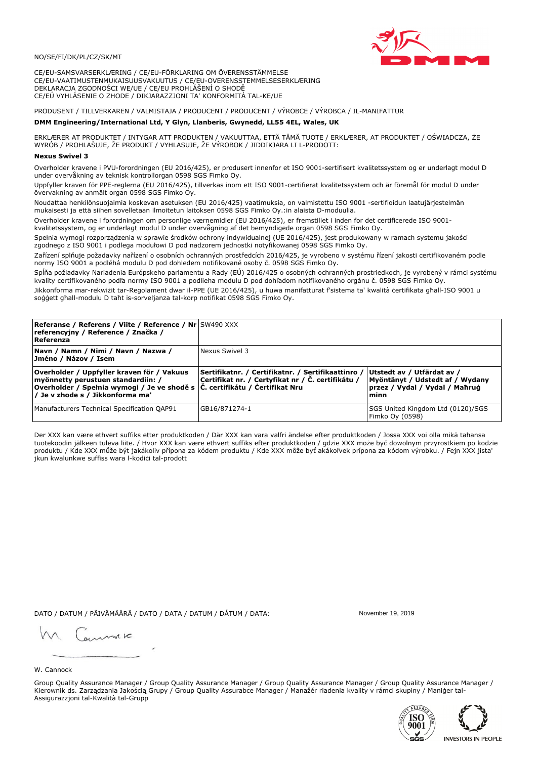

CE/EU-SAMSVARSERKLÆRING / CE/EU-FÖRKLARING OM ÖVERENSSTÄMMELSE CE/EU-VAATIMUSTENMUKAISUUSVAKUUTUS / CE/EU-OVERENSSTEMMELSESERKLÆRING DEKLARACJA ZGODNOŚCI WE/UE / CE/EU PROHLÁŠENÍ O SHODĚ CE/EÚ VYHLÁSENIE O ZHODE / DIKJARAZZJONI TA' KONFORMITÀ TAL-KE/UE

# PRODUSENT / TILLVERKAREN / VALMISTAJA / PRODUCENT / PRODUCENT / VÝROBCE / VÝROBCA / IL-MANIFATTUR

### DMM Engineering/International Ltd, Y Glyn, Llanberis, Gwynedd, LL55 4EL, Wales, UK

ERKLÆRER AT PRODUKTET / INTYGAR ATT PRODUKTEN / VAKUUTTAA, ETTÄ TÄMÄ TUOTE / ERKLÆRER, AT PRODUKTET / OŚWIADCZA, ŻE<br>WYRÓB / PROHLAŠUJE, ŽE PRODUKT / VYHLASUJE, ŽE VÝROBOK / JIDDIKJARA LI L-PRODOTT:

Overholder kravene i PVU-forordningen (EU 2016/425), er produsert innenfor et ISO 9001-sertifisert kvalitetssystem og er underlagt modul D under overvåkning av teknisk kontrollorgan 0598 SGS Fimko Oy.

Uppfyller kraven för PPE-reglerna (EU 2016/425), tillverkas inom ett ISO 9001-certifierat kvalitetssystem och är föremål för modul D under övervakning av anmält organ 0598 SGS Fimko Oy.

Noudattaa henkilönsuojaimia koskevan asetuksen (EU 2016/425) vaatimuksia, on valmistettu ISO 9001 -sertifioidun laatujärjestelmän mukaisesti ja että siihen sovelletaan ilmoitetun laitoksen 0598 SGS Fimko Oy.:in alaista D-moduulia.

Overholder kravene i forordningen om personlige værnemidler (EU 2016/425), er fremstillet i inden for det certificerede ISO 9001kvalitetssystem, og er underlagt modul D under overvågning af det bemyndigede organ 0598 SGS Fimko Oy.

Spełnia wymogi rozporządzenia w sprawie środków ochrony indywidualnej (UE 2016/425), jest produkowany w ramach systemu jakości zgodnego z ISO 9001 i podlega modułowi D pod nadzorem jednostki notyfikowanej 0598 SGS Fimko Oy.

Zařízení splňuje požadavky nařízení o osobních ochranných prostředcích 2016/425, je vyrobeno v systému řízení jakosti certifikovaném podle normy ISO 9001 a podléhá modulu D pod dohledem notifikované osoby č. 0598 SGS Fimko Oy.

Spĺňa požiadavky Nariadenia Európskeho parlamentu a Rady (EÚ) 2016/425 o osobných ochranných prostriedkoch, je vyrobený v rámci systému kvality certifikovaného podľa normy ISO 9001 a podlieha modulu D pod dohľadom notifikovaného orgánu č. 0598 SGS Fimko Oy.

Jikkonforma mar-rekwiżit tar-Regolament dwar il-PPE (UE 2016/425), u huwa manifatturat f'sistema ta' kwalità certifikata għall-ISO 9001 u soggett għall-modulu D taħt is-sorveljanza tal-korp notifikat 0598 SGS Fimko Oy.

| <b>Referanse / Referens / Viite / Reference / Nr</b> SW490 XXX<br>referencyjny / Reference / Značka /<br>Referenza                                                                                                        |                                                                                                         |                                                                                                         |
|---------------------------------------------------------------------------------------------------------------------------------------------------------------------------------------------------------------------------|---------------------------------------------------------------------------------------------------------|---------------------------------------------------------------------------------------------------------|
| Navn / Namn / Nimi / Navn / Nazwa /<br>Jméno / Názov / Isem                                                                                                                                                               | Nexus Swivel 3                                                                                          |                                                                                                         |
| Overholder / Uppfyller kraven för / Vakuus<br>myönnetty perustuen standardiin: /<br> Overholder / Spełnia wymogi / Je ve shodě s $ \check{\mathsf{C}}$ . certifikátu / Čertifikat Nru<br>/ Je v zhode s / Jikkonforma ma' | Sertifikatnr. / Certifikatnr. / Sertifikaattinro /<br>Certifikat nr. / Certyfikat nr / Č. certifikátu / | Utstedt av / Utfärdat av /<br>Myöntänyt / Udstedt af / Wydany<br>przez / Vydal / Vydal / Mahrug<br>minn |
| Manufacturers Technical Specification QAP91                                                                                                                                                                               | GB16/871274-1                                                                                           | SGS United Kingdom Ltd (0120)/SGS<br>Fimko Oy (0598)                                                    |

Der XXX kan være ethvert suffiks etter produktkoden / Där XXX kan vara valfri ändelse efter produktkoden / Jossa XXX voi olla mikä tahansa tuotekoodin jälkeen tuleva liite. / Hvor XXX kan være ethvert suffiks efter produktkoden / gdzie XXX może być dowolnym przyrostkiem po kodzie produktu / Kde XXX může být jakákoliv přípona za kódem produktu / Kde XXX môže byť akákolyek prípona za kódom výrobku. / Fejn XXX jista ikun kwalunkwe suffiss wara l-kodići tal-prodott

DATO / DATUM / PÄIVÄMÄÄRÄ / DATO / DATA / DATUM / DÁTUM / DATA:

November 19 2019

annuic

W. Cannock

Group Quality Assurance Manager / Group Quality Assurance Manager / Group Quality Assurance Manager / Group Quality Assurance Manager / Kierownik ds. Zarządzania Jakością Grupy / Group Quality Assurabce Manager / Manažér riadenia kvality v rámci skupiny / Maniger tal-Assigurazzjoni tal-Kwalità tal-Grupp